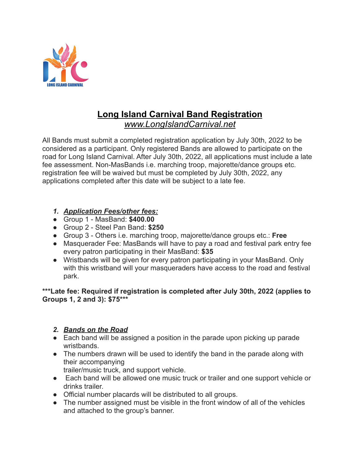

# **Long Island Carnival Band Registration**

*www.LongIslandCarnival.net*

All Bands must submit a completed registration application by July 30th, 2022 to be considered as a participant. Only registered Bands are allowed to participate on the road for Long Island Carnival. After July 30th, 2022, all applications must include a late fee assessment. Non-MasBands i.e. marching troop, majorette/dance groups etc. registration fee will be waived but must be completed by July 30th, 2022, any applications completed after this date will be subject to a late fee.

#### *1. Application Fees/other fees:*

- Group 1 MasBand: **\$400.00**
- Group 2 Steel Pan Band: **\$250**
- Group 3 Others i.e. marching troop, majorette/dance groups etc.: **Free**
- Masquerader Fee: MasBands will have to pay a road and festival park entry fee every patron participating in their MasBand: **\$35**
- Wristbands will be given for every patron participating in your MasBand. Only with this wristband will your masqueraders have access to the road and festival park.

**\*\*\*Late fee: Required if registration is completed after July 30th, 2022 (applies to Groups 1, 2 and 3): \$75\*\*\***

#### *2. Bands on the Road*

- Each band will be assigned a position in the parade upon picking up parade wristbands.
- The numbers drawn will be used to identify the band in the parade along with their accompanying

trailer/music truck, and support vehicle.

- Each band will be allowed one music truck or trailer and one support vehicle or drinks trailer.
- Official number placards will be distributed to all groups.
- The number assigned must be visible in the front window of all of the vehicles and attached to the group's banner.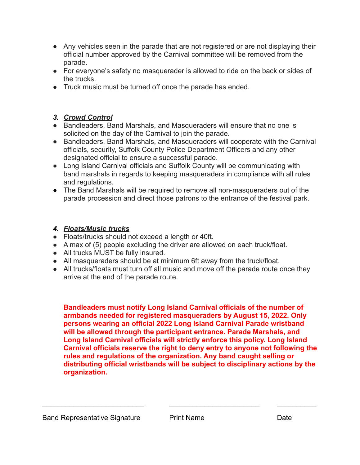- Any vehicles seen in the parade that are not registered or are not displaying their official number approved by the Carnival committee will be removed from the parade.
- For everyone's safety no masquerader is allowed to ride on the back or sides of the trucks.
- Truck music must be turned off once the parade has ended.

### *3. Crowd Control*

- Bandleaders, Band Marshals, and Masqueraders will ensure that no one is solicited on the day of the Carnival to join the parade.
- Bandleaders, Band Marshals, and Masqueraders will cooperate with the Carnival officials, security, Suffolk County Police Department Officers and any other designated official to ensure a successful parade.
- Long Island Carnival officials and Suffolk County will be communicating with band marshals in regards to keeping masqueraders in compliance with all rules and regulations.
- The Band Marshals will be required to remove all non-masqueraders out of the parade procession and direct those patrons to the entrance of the festival park.

### *4. Floats/Music trucks*

- Floats/trucks should not exceed a length or 40ft.
- A max of (5) people excluding the driver are allowed on each truck/float.
- All trucks MUST be fully insured.
- All masqueraders should be at minimum 6ft away from the truck/float.
- All trucks/floats must turn off all music and move off the parade route once they arrive at the end of the parade route.

**Bandleaders must notify Long Island Carnival officials of the number of armbands needed for registered masqueraders by August 15, 2022. Only persons wearing an official 2022 Long Island Carnival Parade wristband will be allowed through the participant entrance. Parade Marshals, and Long Island Carnival officials will strictly enforce this policy. Long Island Carnival officials reserve the right to deny entry to anyone not following the rules and regulations of the organization. Any band caught selling or distributing official wristbands will be subject to disciplinary actions by the organization.**

\_\_\_\_\_\_\_\_\_\_\_\_\_\_\_\_\_\_\_\_\_\_\_\_\_\_ \_\_\_\_\_\_\_\_\_\_\_\_\_\_\_\_\_\_\_\_\_\_\_ \_\_\_\_\_\_\_\_\_\_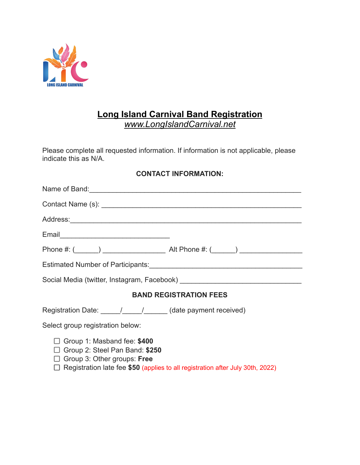

## **Long Island Carnival Band Registration**

*[www.LongIslandCarnival.net](http://www.longislandcarnival.net)*

Please complete all requested information. If information is not applicable, please indicate this as N/A.

#### **CONTACT INFORMATION:**

| Name of Band: Name of Band:                                                                                                                                                                         |                               |
|-----------------------------------------------------------------------------------------------------------------------------------------------------------------------------------------------------|-------------------------------|
|                                                                                                                                                                                                     |                               |
|                                                                                                                                                                                                     |                               |
|                                                                                                                                                                                                     |                               |
|                                                                                                                                                                                                     |                               |
|                                                                                                                                                                                                     |                               |
|                                                                                                                                                                                                     |                               |
|                                                                                                                                                                                                     | <b>BAND REGISTRATION FEES</b> |
|                                                                                                                                                                                                     |                               |
| Select group registration below:                                                                                                                                                                    |                               |
| Group 1: Masband fee: \$400<br>$\Box$ Group 2: Steel Pan Band: \$250<br>$\Box$ Group 3: Other groups: Free<br>$\Box$ Registration late fee \$50 (applies to all registration after July 30th, 2022) |                               |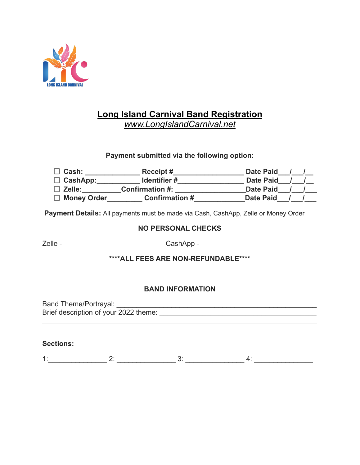

## **Long Island Carnival Band Registration**

*[www.LongIslandCarnival.net](http://www.longislandcarnival.net)*

#### **Payment submitted via the following option:**

| Cash:              | Receipt #              | <b>Date Paid</b> |
|--------------------|------------------------|------------------|
| $\Box$ CashApp:    | Identifier#            | <b>Date Paid</b> |
| $\Box$ Zelle:      | <b>Confirmation #:</b> | <b>Date Paid</b> |
| $\Box$ Money Order | <b>Confirmation #</b>  | <b>Date Paid</b> |

**Payment Details:** All payments must be made via Cash, CashApp, Zelle or Money Order

#### **NO PERSONAL CHECKS**

Zelle - CashApp -

#### **\*\*\*\*ALL FEES ARE NON-REFUNDABLE\*\*\*\***

#### **BAND INFORMATION**

Band Theme/Portrayal: \_\_\_\_\_\_\_\_\_\_\_\_\_\_\_\_\_\_\_\_\_\_\_\_\_\_\_\_\_\_\_\_\_\_\_\_\_\_\_\_\_\_\_\_\_\_\_\_\_\_\_ Brief description of your 2022 theme: \_\_\_\_\_\_\_\_\_\_\_\_\_\_\_\_\_\_\_\_\_\_\_\_\_\_\_\_\_\_\_\_\_\_\_\_\_\_\_\_

 $\mathcal{L}_\text{max} = \mathcal{L}_\text{max} = \mathcal{L}_\text{max} = \mathcal{L}_\text{max} = \mathcal{L}_\text{max} = \mathcal{L}_\text{max} = \mathcal{L}_\text{max} = \mathcal{L}_\text{max} = \mathcal{L}_\text{max} = \mathcal{L}_\text{max} = \mathcal{L}_\text{max} = \mathcal{L}_\text{max} = \mathcal{L}_\text{max} = \mathcal{L}_\text{max} = \mathcal{L}_\text{max} = \mathcal{L}_\text{max} = \mathcal{L}_\text{max} = \mathcal{L}_\text{max} = \mathcal{$ 

#### **Sections:**

1:\_\_\_\_\_\_\_\_\_\_\_\_\_\_\_ 2: \_\_\_\_\_\_\_\_\_\_\_\_\_\_\_ 3: \_\_\_\_\_\_\_\_\_\_\_\_\_\_\_ 4: \_\_\_\_\_\_\_\_\_\_\_\_\_\_\_